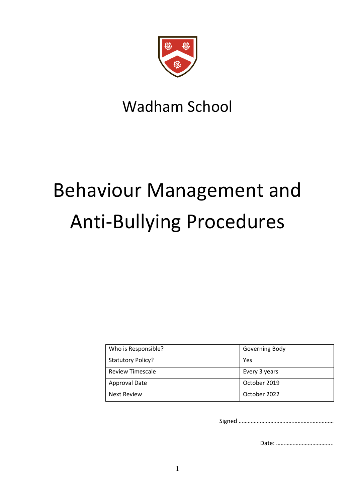

## Wadham School

# Behaviour Management and Anti-Bullying Procedures

| Who is Responsible?      | Governing Body |
|--------------------------|----------------|
| <b>Statutory Policy?</b> | <b>Yes</b>     |
| <b>Review Timescale</b>  | Every 3 years  |
| <b>Approval Date</b>     | October 2019   |
| <b>Next Review</b>       | October 2022   |

Signed ………………………………………………………

Date: ………………………………..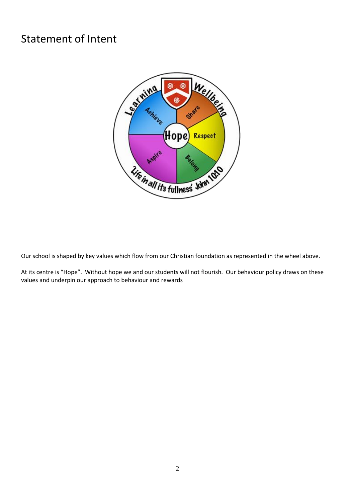## Statement of Intent



Our school is shaped by key values which flow from our Christian foundation as represented in the wheel above.

At its centre is "Hope". Without hope we and our students will not flourish. Our behaviour policy draws on these values and underpin our approach to behaviour and rewards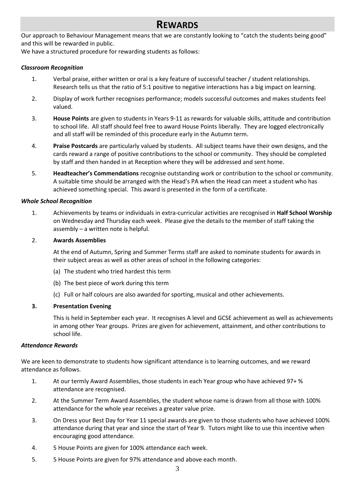## **REWARDS**

Our approach to Behaviour Management means that we are constantly looking to "catch the students being good" and this will be rewarded in public.

We have a structured procedure for rewarding students as follows:

#### *Classroom Recognition*

- 1. Verbal praise, either written or oral is a key feature of successful teacher / student relationships. Research tells us that the ratio of 5:1 positive to negative interactions has a big impact on learning.
- 2. Display of work further recognises performance; models successful outcomes and makes students feel valued.
- 3. **House Points** are given to students in Years 9-11 as rewards for valuable skills, attitude and contribution to school life. All staff should feel free to award House Points liberally. They are logged electronically and all staff will be reminded of this procedure early in the Autumn term.
- 4. **Praise Postcards** are particularly valued by students. All subject teams have their own designs, and the cards reward a range of positive contributions to the school or community. They should be completed by staff and then handed in at Reception where they will be addressed and sent home.
- 5. **Headteacher's Commendations** recognise outstanding work or contribution to the school or community. A suitable time should be arranged with the Head's PA when the Head can meet a student who has achieved something special. This award is presented in the form of a certificate.

#### *Whole School Recognition*

1. Achievements by teams or individuals in extra-curricular activities are recognised in **Half School Worship** on Wednesday and Thursday each week. Please give the details to the member of staff taking the assembly – a written note is helpful.

#### 2. **Awards Assemblies**

At the end of Autumn, Spring and Summer Terms staff are asked to nominate students for awards in their subject areas as well as other areas of school in the following categories:

- (a) The student who tried hardest this term
- (b) The best piece of work during this term
- (c) Full or half colours are also awarded for sporting, musical and other achievements.

#### **3. Presentation Evening**

This is held in September each year. It recognises A level and GCSE achievement as well as achievements in among other Year groups. Prizes are given for achievement, attainment, and other contributions to school life.

#### *Attendance Rewards*

We are keen to demonstrate to students how significant attendance is to learning outcomes, and we reward attendance as follows.

- 1. At our termly Award Assemblies, those students in each Year group who have achieved 97+ % attendance are recognised.
- 2. At the Summer Term Award Assemblies, the student whose name is drawn from all those with 100% attendance for the whole year receives a greater value prize.
- 3. On Dress your Best Day for Year 11 special awards are given to those students who have achieved 100% attendance during that year and since the start of Year 9. Tutors might like to use this incentive when encouraging good attendance.
- 4. 5 House Points are given for 100% attendance each week.
- 5. 5 House Points are given for 97% attendance and above each month.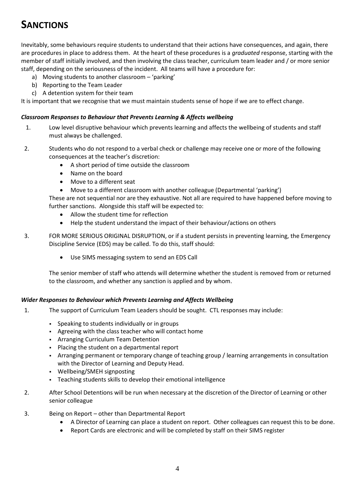## **SANCTIONS**

Inevitably, some behaviours require students to understand that their actions have consequences, and again, there are procedures in place to address them. At the heart of these procedures is a *graduated* response, starting with the member of staff initially involved, and then involving the class teacher, curriculum team leader and / or more senior staff, depending on the seriousness of the incident. All teams will have a procedure for:

- a) Moving students to another classroom 'parking'
- b) Reporting to the Team Leader
- c) A detention system for their team

It is important that we recognise that we must maintain students sense of hope if we are to effect change.

#### *Classroom Responses to Behaviour that Prevents Learning & Affects wellbeing*

- 1. Low level disruptive behaviour which prevents learning and affects the wellbeing of students and staff must always be challenged.
- 2. Students who do not respond to a verbal check or challenge may receive one or more of the following consequences at the teacher's discretion:
	- A short period of time outside the classroom
	- Name on the board
	- Move to a different seat
	- Move to a different classroom with another colleague (Departmental 'parking')

These are not sequential nor are they exhaustive. Not all are required to have happened before moving to further sanctions. Alongside this staff will be expected to:

- Allow the student time for reflection
- Help the student understand the impact of their behaviour/actions on others
- 3. FOR MORE SERIOUS ORIGINAL DISRUPTION, or if a student persists in preventing learning, the Emergency Discipline Service (EDS) may be called. To do this, staff should:
	- Use SIMS messaging system to send an EDS Call

The senior member of staff who attends will determine whether the student is removed from or returned to the classroom, and whether any sanction is applied and by whom.

#### *Wider Responses to Behaviour which Prevents Learning and Affects Wellbeing*

- 1. The support of Curriculum Team Leaders should be sought. CTL responses may include:
	- Speaking to students individually or in groups
	- Agreeing with the class teacher who will contact home
	- **Arranging Curriculum Team Detention**
	- Placing the student on a departmental report
	- Arranging permanent or temporary change of teaching group / learning arrangements in consultation with the Director of Learning and Deputy Head.
	- Wellbeing/SMEH signposting
	- Teaching students skills to develop their emotional intelligence
- 2. After School Detentions will be run when necessary at the discretion of the Director of Learning or other senior colleague
- 3. Being on Report other than Departmental Report
	- A Director of Learning can place a student on report. Other colleagues can request this to be done.
	- Report Cards are electronic and will be completed by staff on their SIMS register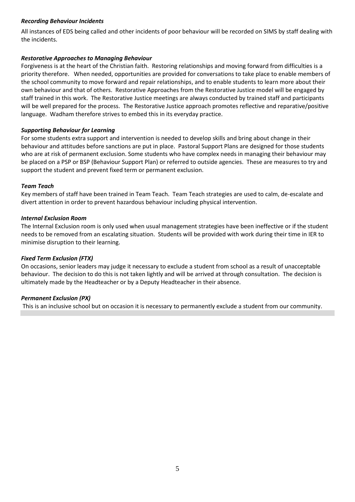#### *Recording Behaviour Incidents*

All instances of EDS being called and other incidents of poor behaviour will be recorded on SIMS by staff dealing with the incidents.

#### *Restorative Approaches to Managing Behaviour*

Forgiveness is at the heart of the Christian faith. Restoring relationships and moving forward from difficulties is a priority therefore. When needed, opportunities are provided for conversations to take place to enable members of the school community to move forward and repair relationships, and to enable students to learn more about their own behaviour and that of others. Restorative Approaches from the Restorative Justice model will be engaged by staff trained in this work. The Restorative Justice meetings are always conducted by trained staff and participants will be well prepared for the process. The Restorative Justice approach promotes reflective and reparative/positive language. Wadham therefore strives to embed this in its everyday practice.

#### *Supporting Behaviour for Learning*

For some students extra support and intervention is needed to develop skills and bring about change in their behaviour and attitudes before sanctions are put in place. Pastoral Support Plans are designed for those students who are at risk of permanent exclusion. Some students who have complex needs in managing their behaviour may be placed on a PSP or BSP (Behaviour Support Plan) or referred to outside agencies. These are measures to try and support the student and prevent fixed term or permanent exclusion.

#### *Team Teach*

Key members of staff have been trained in Team Teach. Team Teach strategies are used to calm, de-escalate and divert attention in order to prevent hazardous behaviour including physical intervention.

#### *Internal Exclusion Room*

The Internal Exclusion room is only used when usual management strategies have been ineffective or if the student needs to be removed from an escalating situation. Students will be provided with work during their time in IER to minimise disruption to their learning.

#### *Fixed Term Exclusion (FTX)*

On occasions, senior leaders may judge it necessary to exclude a student from school as a result of unacceptable behaviour. The decision to do this is not taken lightly and will be arrived at through consultation. The decision is ultimately made by the Headteacher or by a Deputy Headteacher in their absence.

#### *Permanent Exclusion (PX)*

This is an inclusive school but on occasion it is necessary to permanently exclude a student from our community.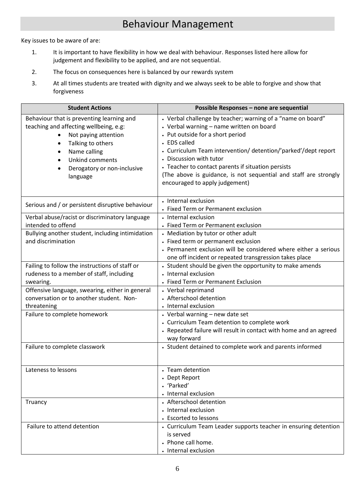## Behaviour Management

Key issues to be aware of are:

- 1. It is important to have flexibility in how we deal with behaviour. Responses listed here allow for judgement and flexibility to be applied, and are not sequential.
- 2. The focus on consequences here is balanced by our rewards system
- 3. At all times students are treated with dignity and we always seek to be able to forgive and show that forgiveness

| <b>Student Actions</b>                                                                                                                                                                                         | Possible Responses - none are sequential                                                                                                                                                                                                                                                                                                                                                                             |
|----------------------------------------------------------------------------------------------------------------------------------------------------------------------------------------------------------------|----------------------------------------------------------------------------------------------------------------------------------------------------------------------------------------------------------------------------------------------------------------------------------------------------------------------------------------------------------------------------------------------------------------------|
| Behaviour that is preventing learning and<br>teaching and affecting wellbeing, e.g:<br>Not paying attention<br>Talking to others<br>Name calling<br>Unkind comments<br>Derogatory or non-inclusive<br>language | • Verbal challenge by teacher; warning of a "name on board"<br>• Verbal warning - name written on board<br>• Put outside for a short period<br>• EDS called<br>• Curriculum Team intervention/ detention/'parked'/dept report<br>• Discussion with tutor<br>• Teacher to contact parents if situation persists<br>(The above is guidance, is not sequential and staff are strongly<br>encouraged to apply judgement) |
| Serious and / or persistent disruptive behaviour                                                                                                                                                               | • Internal exclusion<br>• Fixed Term or Permanent exclusion                                                                                                                                                                                                                                                                                                                                                          |
| Verbal abuse/racist or discriminatory language<br>intended to offend                                                                                                                                           | • Internal exclusion<br>• Fixed Term or Permanent exclusion                                                                                                                                                                                                                                                                                                                                                          |
| Bullying another student, including intimidation<br>and discrimination                                                                                                                                         | • Mediation by tutor or other adult<br>• Fixed term or permanent exclusion<br>• Permanent exclusion will be considered where either a serious<br>one off incident or repeated transgression takes place                                                                                                                                                                                                              |
| Failing to follow the instructions of staff or<br>rudeness to a member of staff, including<br>swearing.                                                                                                        | • Student should be given the opportunity to make amends<br>• Internal exclusion<br>• Fixed Term or Permanent Exclusion                                                                                                                                                                                                                                                                                              |
| Offensive language, swearing, either in general<br>conversation or to another student. Non-<br>threatening                                                                                                     | • Verbal reprimand<br>• Afterschool detention<br>• Internal exclusion                                                                                                                                                                                                                                                                                                                                                |
| Failure to complete homework                                                                                                                                                                                   | • Verbal warning - new date set<br>• Curriculum Team detention to complete work<br>• Repeated failure will result in contact with home and an agreed<br>way forward                                                                                                                                                                                                                                                  |
| Failure to complete classwork                                                                                                                                                                                  | • Student detained to complete work and parents informed                                                                                                                                                                                                                                                                                                                                                             |
| Lateness to lessons                                                                                                                                                                                            | • Team detention<br>• Dept Report<br>• 'Parked'<br>• Internal exclusion                                                                                                                                                                                                                                                                                                                                              |
| Truancy                                                                                                                                                                                                        | • Afterschool detention<br>• Internal exclusion<br>• Escorted to lessons                                                                                                                                                                                                                                                                                                                                             |
| Failure to attend detention                                                                                                                                                                                    | • Curriculum Team Leader supports teacher in ensuring detention<br>is served<br>• Phone call home.<br>• Internal exclusion                                                                                                                                                                                                                                                                                           |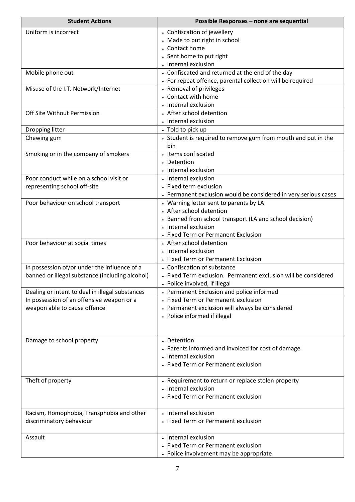| <b>Student Actions</b>                                                                       | Possible Responses - none are sequential                                         |
|----------------------------------------------------------------------------------------------|----------------------------------------------------------------------------------|
| Uniform is incorrect                                                                         | • Confiscation of jewellery                                                      |
|                                                                                              | • Made to put right in school                                                    |
|                                                                                              | • Contact home                                                                   |
|                                                                                              | • Sent home to put right                                                         |
|                                                                                              | • Internal exclusion                                                             |
| Mobile phone out                                                                             | • Confiscated and returned at the end of the day                                 |
|                                                                                              | • For repeat offence, parental collection will be required                       |
| Misuse of the I.T. Network/Internet                                                          | • Removal of privileges                                                          |
|                                                                                              | • Contact with home                                                              |
|                                                                                              | • Internal exclusion                                                             |
| Off Site Without Permission                                                                  | • After school detention                                                         |
|                                                                                              | • Internal exclusion                                                             |
| Dropping litter                                                                              | • Told to pick up                                                                |
| Chewing gum                                                                                  | • Student is required to remove gum from mouth and put in the<br>bin             |
| Smoking or in the company of smokers                                                         | • Items confiscated                                                              |
|                                                                                              | • Detention                                                                      |
|                                                                                              | • Internal exclusion                                                             |
| Poor conduct while on a school visit or                                                      | • Internal exclusion                                                             |
| representing school off-site                                                                 | • Fixed term exclusion                                                           |
|                                                                                              | • Permanent exclusion would be considered in very serious cases                  |
| Poor behaviour on school transport                                                           | • Warning letter sent to parents by LA                                           |
|                                                                                              | • After school detention                                                         |
|                                                                                              | • Banned from school transport (LA and school decision)                          |
|                                                                                              | • Internal exclusion                                                             |
|                                                                                              | • Fixed Term or Permanent Exclusion                                              |
| Poor behaviour at social times                                                               | • After school detention                                                         |
|                                                                                              | • Internal exclusion                                                             |
|                                                                                              | • Fixed Term or Permanent Exclusion                                              |
| In possession of/or under the influence of a                                                 | • Confiscation of substance                                                      |
| banned or illegal substance (including alcohol)                                              | • Fixed Term exclusion. Permanent exclusion will be considered                   |
|                                                                                              | • Police involved, if illegal                                                    |
| Dealing or intent to deal in illegal substances<br>In possession of an offensive weapon or a | • Permanent Exclusion and police informed<br>• Fixed Term or Permanent exclusion |
| weapon able to cause offence                                                                 | • Permanent exclusion will always be considered                                  |
|                                                                                              | • Police informed if illegal                                                     |
|                                                                                              |                                                                                  |
|                                                                                              |                                                                                  |
| Damage to school property                                                                    | • Detention                                                                      |
|                                                                                              | • Parents informed and invoiced for cost of damage                               |
|                                                                                              | • Internal exclusion                                                             |
|                                                                                              | • Fixed Term or Permanent exclusion                                              |
|                                                                                              |                                                                                  |
| Theft of property                                                                            | • Requirement to return or replace stolen property                               |
|                                                                                              | • Internal exclusion                                                             |
|                                                                                              | • Fixed Term or Permanent exclusion                                              |
|                                                                                              |                                                                                  |
| Racism, Homophobia, Transphobia and other                                                    | • Internal exclusion                                                             |
| discriminatory behaviour                                                                     | • Fixed Term or Permanent exclusion                                              |
|                                                                                              |                                                                                  |
| Assault                                                                                      | • Internal exclusion                                                             |
|                                                                                              | • Fixed Term or Permanent exclusion                                              |
|                                                                                              | • Police involvement may be appropriate                                          |